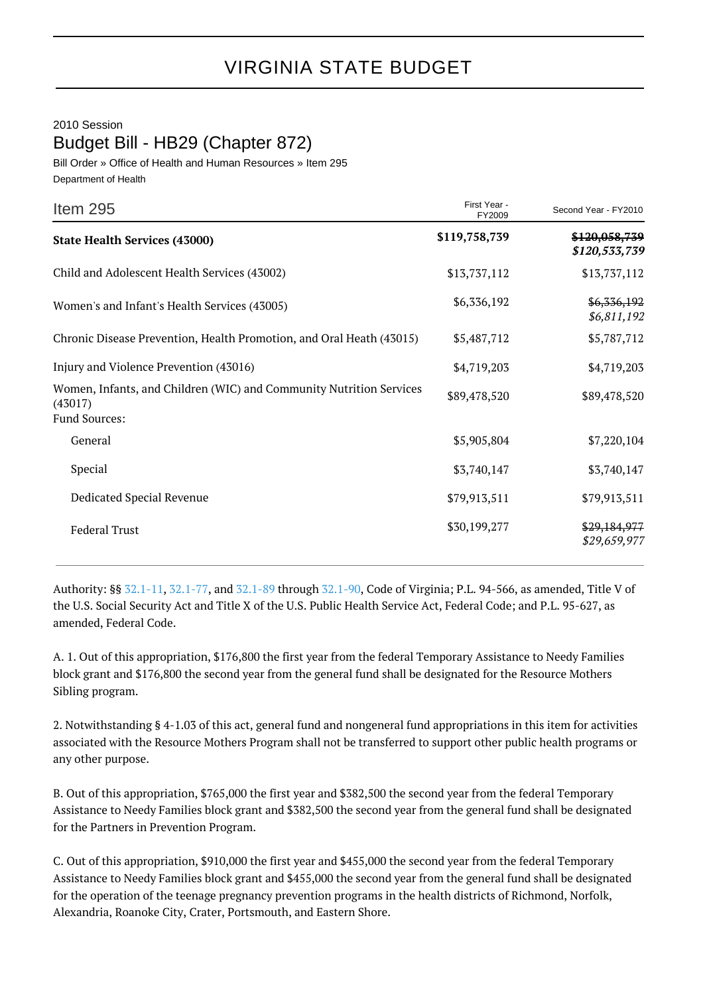## 2010 Session

Budget Bill - HB29 (Chapter 872)

Bill Order » Office of Health and Human Resources » Item 295 Department of Health

| Item 295                                                                                        | First Year -<br>FY2009 | Second Year - FY2010           |
|-------------------------------------------------------------------------------------------------|------------------------|--------------------------------|
| <b>State Health Services (43000)</b>                                                            | \$119,758,739          | \$120,058,739<br>\$120,533,739 |
| Child and Adolescent Health Services (43002)                                                    | \$13,737,112           | \$13,737,112                   |
| Women's and Infant's Health Services (43005)                                                    | \$6,336,192            | \$6,336,192<br>\$6,811,192     |
| Chronic Disease Prevention, Health Promotion, and Oral Heath (43015)                            | \$5,487,712            | \$5,787,712                    |
| Injury and Violence Prevention (43016)                                                          | \$4,719,203            | \$4,719,203                    |
| Women, Infants, and Children (WIC) and Community Nutrition Services<br>(43017)<br>Fund Sources: | \$89,478,520           | \$89,478,520                   |
| General                                                                                         | \$5,905,804            | \$7,220,104                    |
| Special                                                                                         | \$3,740,147            | \$3,740,147                    |
| Dedicated Special Revenue                                                                       | \$79,913,511           | \$79,913,511                   |
| <b>Federal Trust</b>                                                                            | \$30,199,277           | \$29,184,977<br>\$29,659,977   |

Authority: §§ [32.1-11](http://law.lis.virginia.gov/vacode/32.1-11/), [32.1-77](http://law.lis.virginia.gov/vacode/32.1-77/), and [32.1-89](http://law.lis.virginia.gov/vacode/32.1-89/) through [32.1-90](http://law.lis.virginia.gov/vacode/32.1-90/), Code of Virginia; P.L. 94-566, as amended, Title V of the U.S. Social Security Act and Title X of the U.S. Public Health Service Act, Federal Code; and P.L. 95-627, as amended, Federal Code.

A. 1. Out of this appropriation, \$176,800 the first year from the federal Temporary Assistance to Needy Families block grant and \$176,800 the second year from the general fund shall be designated for the Resource Mothers Sibling program.

2. Notwithstanding § 4-1.03 of this act, general fund and nongeneral fund appropriations in this item for activities associated with the Resource Mothers Program shall not be transferred to support other public health programs or any other purpose.

B. Out of this appropriation, \$765,000 the first year and \$382,500 the second year from the federal Temporary Assistance to Needy Families block grant and \$382,500 the second year from the general fund shall be designated for the Partners in Prevention Program.

C. Out of this appropriation, \$910,000 the first year and \$455,000 the second year from the federal Temporary Assistance to Needy Families block grant and \$455,000 the second year from the general fund shall be designated for the operation of the teenage pregnancy prevention programs in the health districts of Richmond, Norfolk, Alexandria, Roanoke City, Crater, Portsmouth, and Eastern Shore.